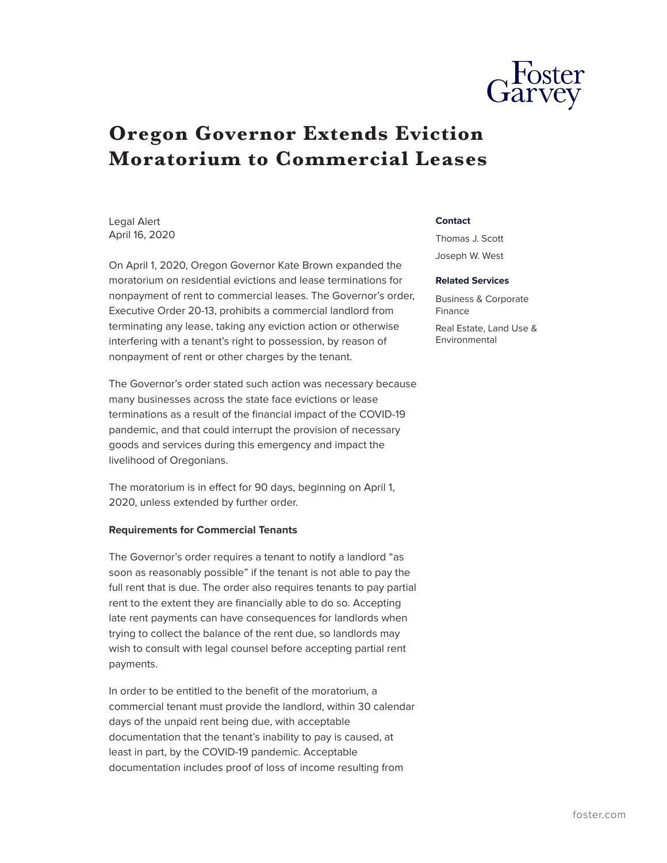

# **Oregon Governor Extends Eviction Moratorium to Commercial Leases**

Legal Alert April 16, 2020

On April 1, 2020, Oregon Governor Kate Brown expanded the moratorium on residential evictions and lease terminations for nonpayment of rent to commercial leases. The Governor's order, Executive Order 20-13, prohibits a commercial landlord from terminating any lease, taking any eviction action or otherwise interfering with a tenant's right to possession, by reason of nonpayment of rent or other charges by the tenant.

The Governor's order stated such action was necessary because many businesses across the state face evictions or lease terminations as a result of the financial impact of the COVID-19 pandemic, and that could interrupt the provision of necessary goods and services during this emergency and impact the livelihood of Oregonians.

The moratorium is in effect for 90 days, beginning on April 1, 2020, unless extended by further order.

# **Requirements for Commercial Tenants**

The Governor's order requires a tenant to notify a landlord "as soon as reasonably possible" if the tenant is not able to pay the full rent that is due. The order also requires tenants to pay partial rent to the extent they are financially able to do so. Accepting late rent payments can have consequences for landlords when trying to collect the balance of the rent due, so landlords may wish to consult with legal counsel before accepting partial rent payments.

In order to be entitled to the benefit of the moratorium, a commercial tenant must provide the landlord, within 30 calendar days of the unpaid rent being due, with acceptable documentation that the tenant's inability to pay is caused, at least in part, by the COVID-19 pandemic. Acceptable documentation includes proof of loss of income resulting from

### **Contact**

Thomas J. Scott Joseph W. West

#### **Related Services**

Environmental

Business & Corporate Finance Real Estate, Land Use &